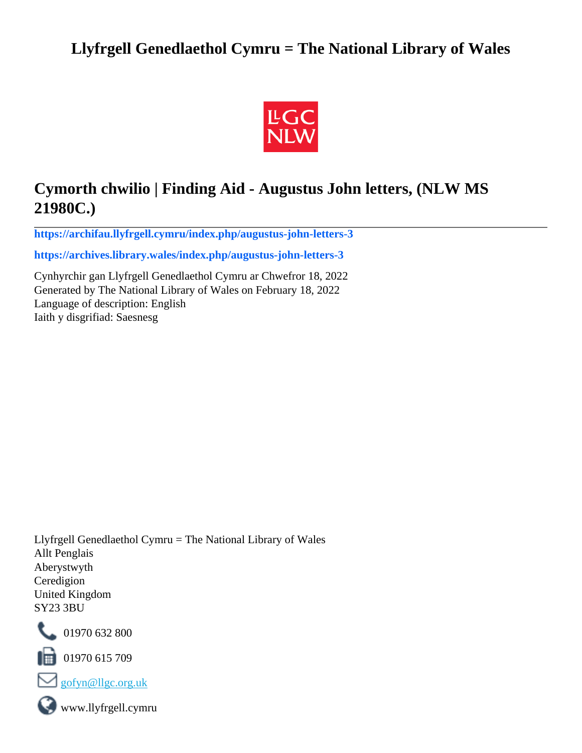# **Llyfrgell Genedlaethol Cymru = The National Library of Wales**



# **Cymorth chwilio | Finding Aid - Augustus John letters, (NLW MS 21980C.)**

**[https://archifau.llyfrgell.cymru/index.php/augustus-john-letters-3](https://archifau.llyfrgell.cymru/index.php/augustus-john-letters-3;isad?sf_culture=cy)**

**[https://archives.library.wales/index.php/augustus-john-letters-3](https://archives.library.wales/index.php/augustus-john-letters-3;isad?sf_culture=en)**

Cynhyrchir gan Llyfrgell Genedlaethol Cymru ar Chwefror 18, 2022 Generated by The National Library of Wales on February 18, 2022 Language of description: English Iaith y disgrifiad: Saesnesg

Llyfrgell Genedlaethol Cymru = The National Library of Wales Allt Penglais Aberystwyth Ceredigion United Kingdom SY23 3BU



101970 632 800

 $\blacksquare$  01970 615 709



www.llyfrgell.cymru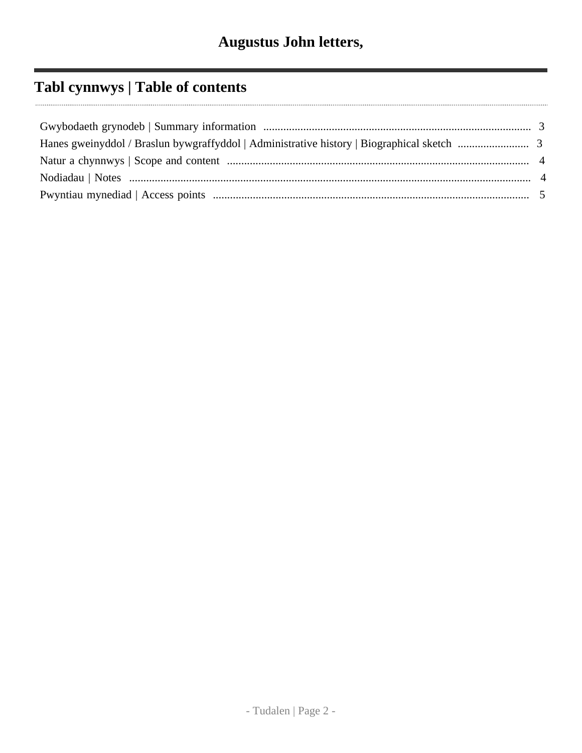# **Tabl cynnwys | Table of contents**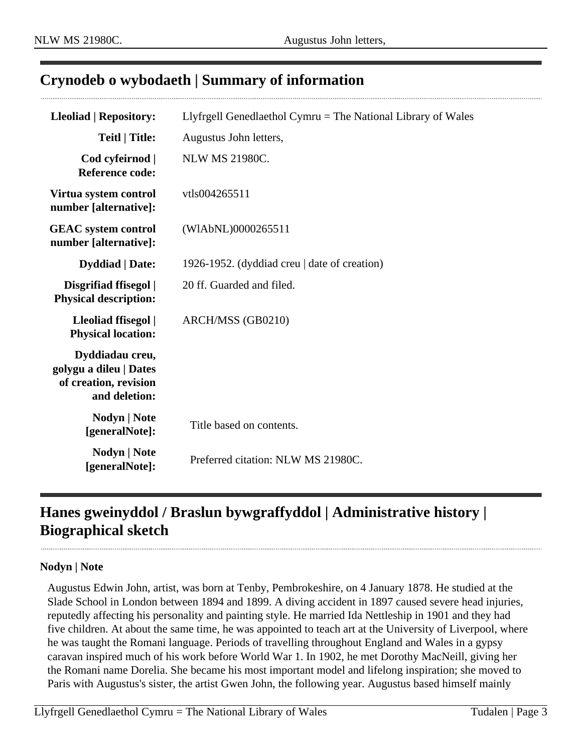### <span id="page-2-0"></span>**Crynodeb o wybodaeth | Summary of information**

| <b>Lleoliad   Repository:</b>                                                       | Llyfrgell Genedlaethol Cymru = The National Library of Wales |
|-------------------------------------------------------------------------------------|--------------------------------------------------------------|
| <b>Teitl   Title:</b>                                                               | Augustus John letters,                                       |
| Cod cyfeirnod  <br><b>Reference code:</b>                                           | <b>NLW MS 21980C.</b>                                        |
| Virtua system control<br>number [alternative]:                                      | vtls004265511                                                |
| <b>GEAC</b> system control<br>number [alternative]:                                 | (WIAbNL)0000265511                                           |
| <b>Dyddiad</b>   Date:                                                              | 1926-1952. (dyddiad creu   date of creation)                 |
| Disgrifiad ffisegol  <br><b>Physical description:</b>                               | 20 ff. Guarded and filed.                                    |
| Lleoliad ffisegol  <br><b>Physical location:</b>                                    | ARCH/MSS (GB0210)                                            |
| Dyddiadau creu,<br>golygu a dileu   Dates<br>of creation, revision<br>and deletion: |                                                              |
| Nodyn   Note<br>[generalNote]:                                                      | Title based on contents.                                     |
| Nodyn   Note<br>[generalNote]:                                                      | Preferred citation: NLW MS 21980C.                           |

## <span id="page-2-1"></span>**Hanes gweinyddol / Braslun bywgraffyddol | Administrative history | Biographical sketch**

#### **Nodyn | Note**

Augustus Edwin John, artist, was born at Tenby, Pembrokeshire, on 4 January 1878. He studied at the Slade School in London between 1894 and 1899. A diving accident in 1897 caused severe head injuries, reputedly affecting his personality and painting style. He married Ida Nettleship in 1901 and they had five children. At about the same time, he was appointed to teach art at the University of Liverpool, where he was taught the Romani language. Periods of travelling throughout England and Wales in a gypsy caravan inspired much of his work before World War 1. In 1902, he met Dorothy MacNeill, giving her the Romani name Dorelia. She became his most important model and lifelong inspiration; she moved to Paris with Augustus's sister, the artist Gwen John, the following year. Augustus based himself mainly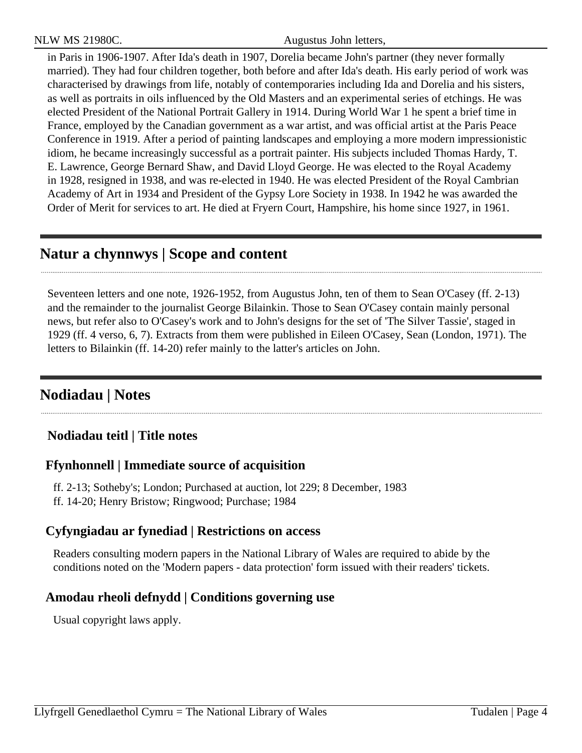NLW MS 21980C. Augustus John letters,

in Paris in 1906-1907. After Ida's death in 1907, Dorelia became John's partner (they never formally married). They had four children together, both before and after Ida's death. His early period of work was characterised by drawings from life, notably of contemporaries including Ida and Dorelia and his sisters, as well as portraits in oils influenced by the Old Masters and an experimental series of etchings. He was elected President of the National Portrait Gallery in 1914. During World War 1 he spent a brief time in France, employed by the Canadian government as a war artist, and was official artist at the Paris Peace Conference in 1919. After a period of painting landscapes and employing a more modern impressionistic idiom, he became increasingly successful as a portrait painter. His subjects included Thomas Hardy, T. E. Lawrence, George Bernard Shaw, and David Lloyd George. He was elected to the Royal Academy in 1928, resigned in 1938, and was re-elected in 1940. He was elected President of the Royal Cambrian Academy of Art in 1934 and President of the Gypsy Lore Society in 1938. In 1942 he was awarded the Order of Merit for services to art. He died at Fryern Court, Hampshire, his home since 1927, in 1961.

## <span id="page-3-0"></span>**Natur a chynnwys | Scope and content**

Seventeen letters and one note, 1926-1952, from Augustus John, ten of them to Sean O'Casey (ff. 2-13) and the remainder to the journalist George Bilainkin. Those to Sean O'Casey contain mainly personal news, but refer also to O'Casey's work and to John's designs for the set of 'The Silver Tassie', staged in 1929 (ff. 4 verso, 6, 7). Extracts from them were published in Eileen O'Casey, Sean (London, 1971). The letters to Bilainkin (ff. 14-20) refer mainly to the latter's articles on John.

## <span id="page-3-1"></span>**Nodiadau | Notes**

### **Nodiadau teitl | Title notes**

### **Ffynhonnell | Immediate source of acquisition**

- ff. 2-13; Sotheby's; London; Purchased at auction, lot 229; 8 December, 1983
- ff. 14-20; Henry Bristow; Ringwood; Purchase; 1984

#### **Cyfyngiadau ar fynediad | Restrictions on access**

Readers consulting modern papers in the National Library of Wales are required to abide by the conditions noted on the 'Modern papers - data protection' form issued with their readers' tickets.

### **Amodau rheoli defnydd | Conditions governing use**

Usual copyright laws apply.